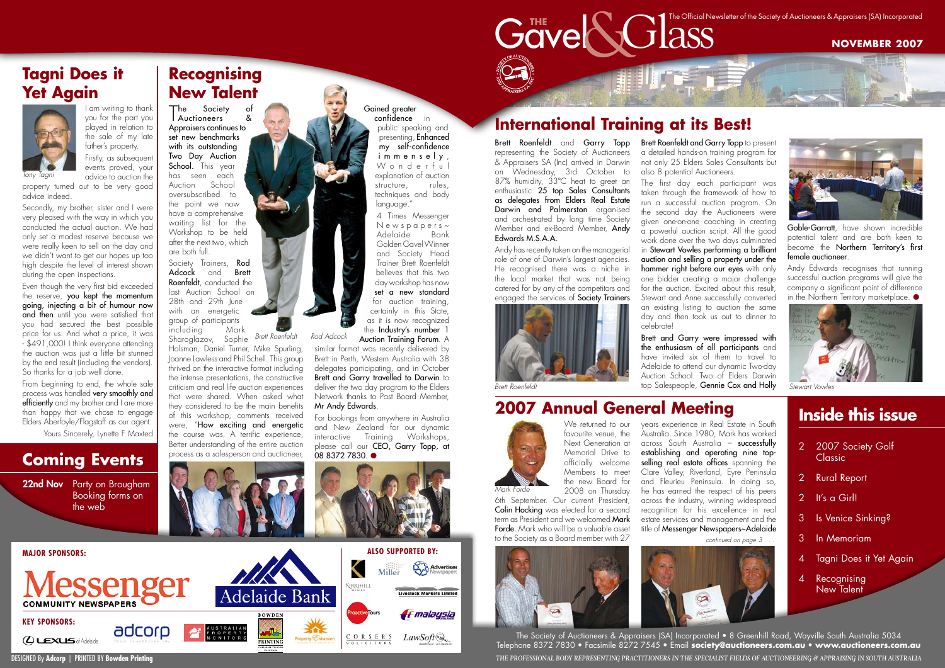We returned to our favourite venue, the Next Generation at Memorial Drive to officially welcome Members to meet the new Board for 2008 on Thursday

6th September. Our current President, Colin Hocking was elected for a second term as President and we welcomed **Mark** Forde. Mark who will be a valuable asset to the Society as a Board member with 27







Andy has recently taken on the managerial role of one of Darwin's largest agencies. He recognised there was a niche in the local market that was not being catered for by any of the competitors and engaged the services of Society Trainers **Brett Roenfeldt and Garry Topp to present** a detailed hands-on training program for not only 25 Elders Sales Consultants but also 8 potential Auctioneers.

Brett Roenfeldt and Garry Topp representing the Society of Auctioneers & Appraisers SA (Inc) arrived in Darwin on Wednesday, 3rd October to 87% humidity, 33°C heat to greet an enthusiastic 25 top Sales Consultants as delegates from Elders Real Estate Darwin and Palmerston organised and orchestrated by long time Society Member and ex-Board Member, Andy Edwards M.S.A.A.

Goble-Garratt, have shown incredible potential talent and are both keen to become the **Northern Territory's first** female auctioneer.

Andy Edwards recognises that running successful auction programs will give the company a significant point of difference in the Northern Territory marketplace. ●

Society Trainers, Rod Adcock and Brett Roenfeldt, conducted the last Auction School on 28th and 29th June with an energetic group of participants<br>including Mark including Mark

The first day each participant was taken through the framework of how to run a successful auction program. On the second day the Auctioneers were given one-on-one coaching in creating a powerful auction script. All the good work done over the two days culminated in Stewart Vowles performing a brilliant auction and selling a property under the hammer right before our eyes with only one bidder creating a major challenge for the auction. Excited about this result Stewart and Anne successfully converted an existing listing to auction the same day and then took us out to dinner to celebrate!

presenting, Enhanced my self-confidence immensely, W onderful explanation of auction structure, rules, techniques and body language."

Mr Andy Edwards. For bookings from anywhere in Australia and New Zealand for our dynamic interactive Training Workshops, please call our **CEO**, Garry Topp, at<br>08 8372 7830.  $\bullet$ 



Brett and Garry were impressed with the enthusiasm of all participants and have invited six of them to travel to Adelaide to attend our dynamic Two-day Auction School. Two of Elders Darwin top Salespeople, Gennie Cox and Holly

22nd Nov Party on Brougham Booking forms on the web

- 2007 Society Golf **Classic**
- 2 Rural Report
- 2 It's a Girl!
- **15 Venice Sinking?**
- **In Memoriam**
- **Tagni Does it Yet Again**
- 4 Recognising New Talent

The Society of Auctioneers & Appraisers (SA) Incorporated • 8 Greenhill Road, Wayville South Australia 5034 Telephone 8372 7830 • Facsimile 8272 7545 • Email **society@auctioneers.com.au** • **www.auctioneers.com.au** DESIGNED By **Adcorp** | PRINTED BY Bowden Printing *The Professional Body representing Practitioners in the specialist fields of Auctioneering & Appraising in South Australia* 

T Auctioneers & he Society of Appraisers continues to set new benchmarks with its outstanding Two Day Auction School. This year has seen each Auction School oversubscribed to the point we now have a comprehensive waiting list for the Workshop to be held after the next two, which are both full.

Even though the very first bid exceeded the reserve, you kept the momentum going, injecting a bit of humour now and then until you were satisfied that you had secured the best possible price for us. And what a price, it was - \$491,000! I think everyone attending the auction was just a little bit stunned by the end result (including the vendors). So thanks for a job well done.

Sharoglazov, Sophie *Brett Roenfeldt Rod Adcock* Holsman, Daniel Turner, Mike Spurling, Joanne Lawless and Phil Schell. This group thrived on the interactive format including the intense presentations, the constructive criticism and real life auction experiences that were shared. When asked what they considered to be the main benefits of this workshop, comments received were, "How exciting and energetic the course was, A terrific experience, Better understanding of the entire auction



#### Gained greater confidence in public speaking and

4 Times Messenger  $N e$  w s p a p e r s  $\sim$ Adelaide Bank Golden Gavel Winner and Society Head Trainer Brett Roenfeldt believes that this two day workshop has now set a new standard for auction training, certainly in this State, as it is now recognized the Industry's number 1 Auction Training Forum. A

similar format was recently delivered by Brett in Perth, Western Australia with 38 delegates participating, and in October Brett and Garry travelled to Darwin to deliver the two day program to the Elders Network thanks to Past Board Member,

## **Inside this issue**



**NOVEMBER 2007**



## **Recognising New Talent**

## **International Training at its Best!**

I am writing to thank you for the part you played in relation to the sale of my late father's property. Firstly, as subsequent

> events proved, your advice to auction the

property turned out to be very good advice indeed.

Secondly, my brother, sister and I were very pleased with the way in which you conducted the actual auction. We had only set a modest reserve because we were really keen to sell on the day and we didn't want to get our hopes up too high despite the level of interest shown during the open inspections.

From beginning to end, the whole sale process was handled very smoothly and efficiently and my brother and I are more than happy that we chose to engage Elders Aberfoyle/Flagstaff as our agent.

Yours Sincerely, Lynette F Maxted

#### **Coming Events**

### **Tagni Does it Yet Again**



#### **2007 Annual General Meeting**

continued on page 3 . . .



*Tony Tagni*



*Stewart Vowles*